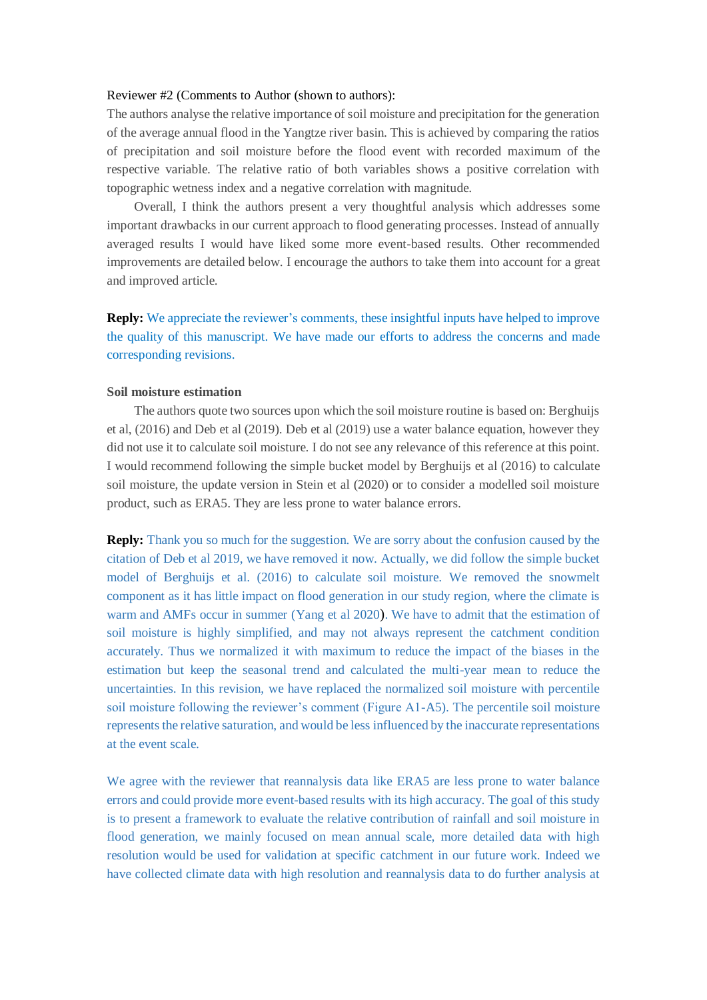#### Reviewer #2 (Comments to Author (shown to authors):

The authors analyse the relative importance of soil moisture and precipitation for the generation of the average annual flood in the Yangtze river basin. This is achieved by comparing the ratios of precipitation and soil moisture before the flood event with recorded maximum of the respective variable. The relative ratio of both variables shows a positive correlation with topographic wetness index and a negative correlation with magnitude.

Overall, I think the authors present a very thoughtful analysis which addresses some important drawbacks in our current approach to flood generating processes. Instead of annually averaged results I would have liked some more event-based results. Other recommended improvements are detailed below. I encourage the authors to take them into account for a great and improved article.

**Reply:** We appreciate the reviewer's comments, these insightful inputs have helped to improve the quality of this manuscript. We have made our efforts to address the concerns and made corresponding revisions.

## **Soil moisture estimation**

The authors quote two sources upon which the soil moisture routine is based on: Berghuijs et al, (2016) and Deb et al (2019). Deb et al (2019) use a water balance equation, however they did not use it to calculate soil moisture. I do not see any relevance of this reference at this point. I would recommend following the simple bucket model by Berghuijs et al (2016) to calculate soil moisture, the update version in Stein et al (2020) or to consider a modelled soil moisture product, such as ERA5. They are less prone to water balance errors.

**Reply:** Thank you so much for the suggestion. We are sorry about the confusion caused by the citation of Deb et al 2019, we have removed it now. Actually, we did follow the simple bucket model of Berghuijs et al. (2016) to calculate soil moisture. We removed the snowmelt component as it has little impact on flood generation in our study region, where the climate is warm and AMFs occur in summer (Yang et al 2020). We have to admit that the estimation of soil moisture is highly simplified, and may not always represent the catchment condition accurately. Thus we normalized it with maximum to reduce the impact of the biases in the estimation but keep the seasonal trend and calculated the multi-year mean to reduce the uncertainties. In this revision, we have replaced the normalized soil moisture with percentile soil moisture following the reviewer's comment (Figure A1-A5). The percentile soil moisture represents the relative saturation, and would be less influenced by the inaccurate representations at the event scale.

We agree with the reviewer that reannalysis data like ERA5 are less prone to water balance errors and could provide more event-based results with its high accuracy. The goal of this study is to present a framework to evaluate the relative contribution of rainfall and soil moisture in flood generation, we mainly focused on mean annual scale, more detailed data with high resolution would be used for validation at specific catchment in our future work. Indeed we have collected climate data with high resolution and reannalysis data to do further analysis at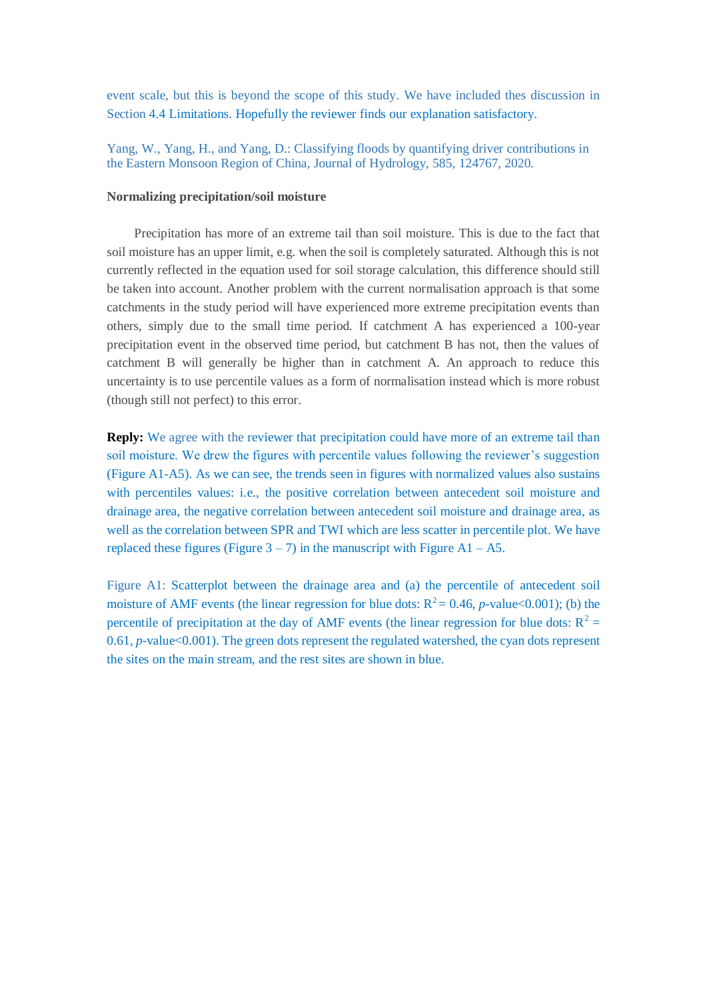event scale, but this is beyond the scope of this study. We have included thes discussion in Section 4.4 Limitations. Hopefully the reviewer finds our explanation satisfactory.

Yang, W., Yang, H., and Yang, D.: Classifying floods by quantifying driver contributions in the Eastern Monsoon Region of China, Journal of Hydrology, 585, 124767, 2020.

## **Normalizing precipitation/soil moisture**

Precipitation has more of an extreme tail than soil moisture. This is due to the fact that soil moisture has an upper limit, e.g. when the soil is completely saturated. Although this is not currently reflected in the equation used for soil storage calculation, this difference should still be taken into account. Another problem with the current normalisation approach is that some catchments in the study period will have experienced more extreme precipitation events than others, simply due to the small time period. If catchment A has experienced a 100-year precipitation event in the observed time period, but catchment B has not, then the values of catchment B will generally be higher than in catchment A. An approach to reduce this uncertainty is to use percentile values as a form of normalisation instead which is more robust (though still not perfect) to this error.

**Reply:** We agree with the reviewer that precipitation could have more of an extreme tail than soil moisture. We drew the figures with percentile values following the reviewer's suggestion (Figure A1-A5). As we can see, the trends seen in figures with normalized values also sustains with percentiles values: i.e., the positive correlation between antecedent soil moisture and drainage area, the negative correlation between antecedent soil moisture and drainage area, as well as the correlation between SPR and TWI which are less scatter in percentile plot. We have replaced these figures (Figure  $3 - 7$ ) in the manuscript with Figure A1 – A5.

Figure A1: Scatterplot between the drainage area and (a) the percentile of antecedent soil moisture of AMF events (the linear regression for blue dots:  $R^2 = 0.46$ , *p*-value<0.001); (b) the percentile of precipitation at the day of AMF events (the linear regression for blue dots:  $R^2$  = 0.61, *p*-value<0.001). The green dots represent the regulated watershed, the cyan dots represent the sites on the main stream, and the rest sites are shown in blue.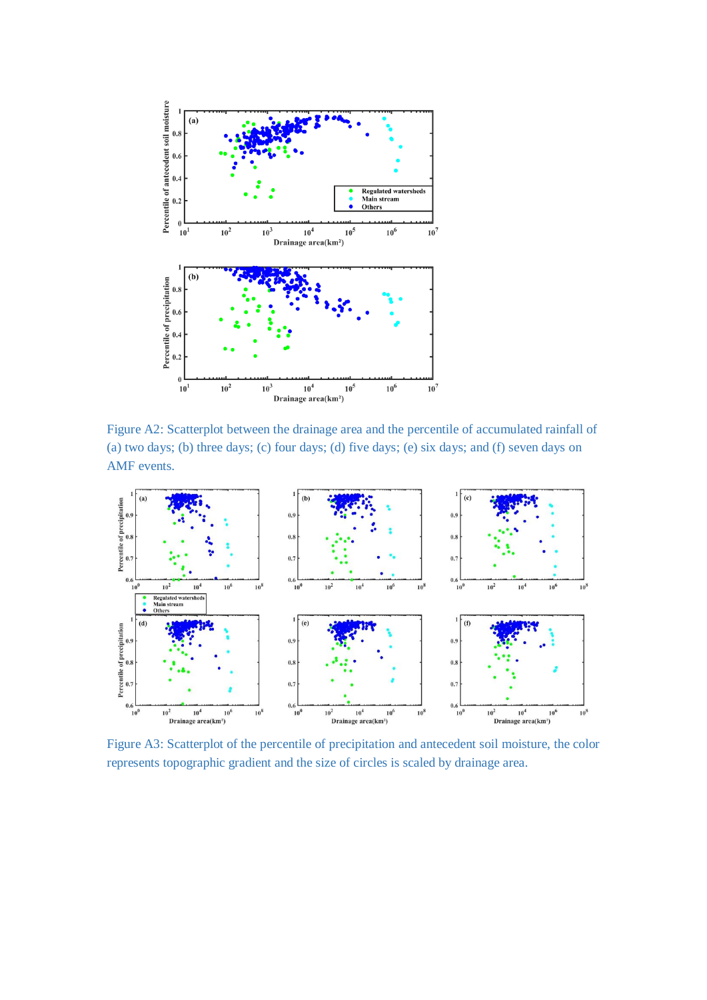

Figure A2: Scatterplot between the drainage area and the percentile of accumulated rainfall of (a) two days; (b) three days; (c) four days; (d) five days; (e) six days; and (f) seven days on AMF events.



Figure A3: Scatterplot of the percentile of precipitation and antecedent soil moisture, the color represents topographic gradient and the size of circles is scaled by drainage area.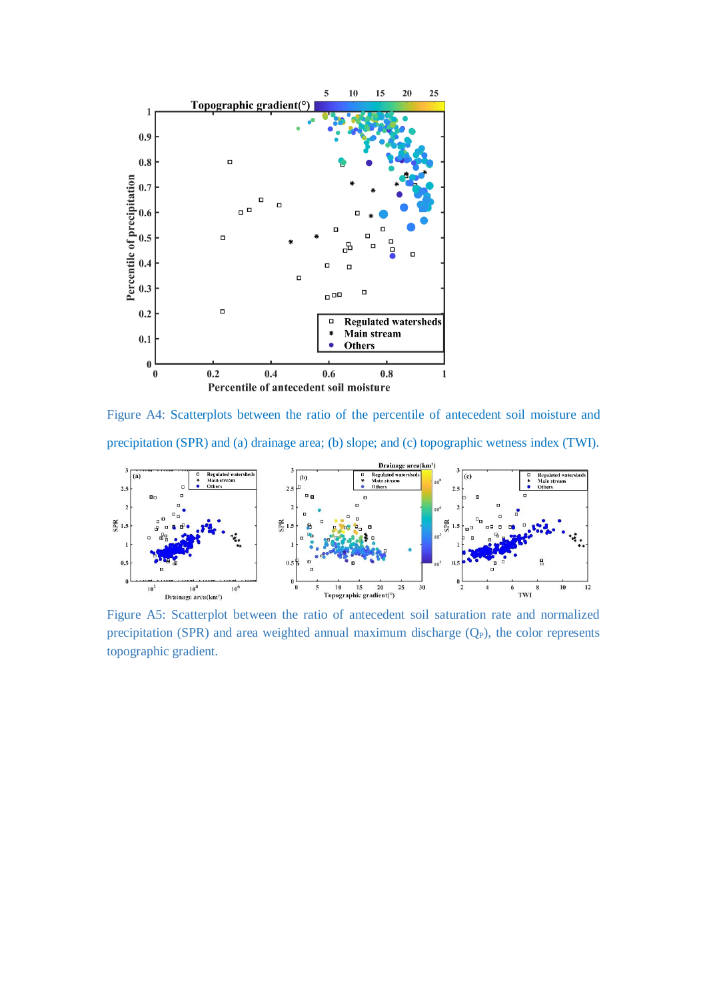

Figure A4: Scatterplots between the ratio of the percentile of antecedent soil moisture and precipitation (SPR) and (a) drainage area; (b) slope; and (c) topographic wetness index (TWI).



Figure A5: Scatterplot between the ratio of antecedent soil saturation rate and normalized precipitation (SPR) and area weighted annual maximum discharge  $(Q_P)$ , the color represents topographic gradient.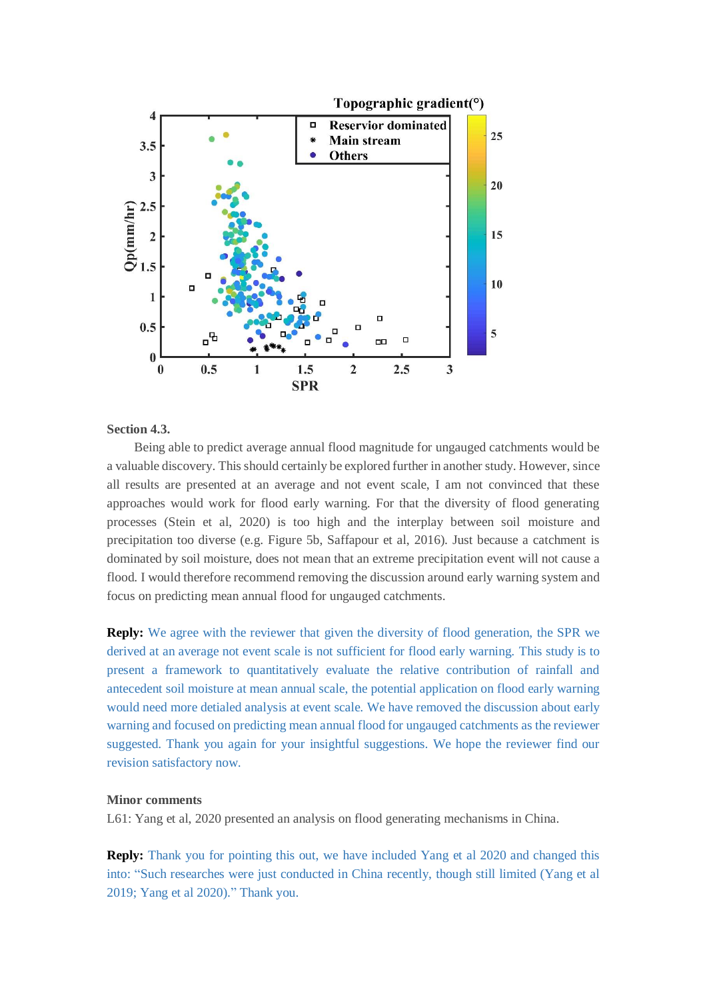

## **Section 4.3.**

Being able to predict average annual flood magnitude for ungauged catchments would be a valuable discovery. This should certainly be explored further in another study. However, since all results are presented at an average and not event scale, I am not convinced that these approaches would work for flood early warning. For that the diversity of flood generating processes (Stein et al, 2020) is too high and the interplay between soil moisture and precipitation too diverse (e.g. Figure 5b, Saffapour et al, 2016). Just because a catchment is dominated by soil moisture, does not mean that an extreme precipitation event will not cause a flood. I would therefore recommend removing the discussion around early warning system and focus on predicting mean annual flood for ungauged catchments.

**Reply:** We agree with the reviewer that given the diversity of flood generation, the SPR we derived at an average not event scale is not sufficient for flood early warning. This study is to present a framework to quantitatively evaluate the relative contribution of rainfall and antecedent soil moisture at mean annual scale, the potential application on flood early warning would need more detialed analysis at event scale. We have removed the discussion about early warning and focused on predicting mean annual flood for ungauged catchments as the reviewer suggested. Thank you again for your insightful suggestions. We hope the reviewer find our revision satisfactory now.

#### **Minor comments**

L61: Yang et al, 2020 presented an analysis on flood generating mechanisms in China.

**Reply:** Thank you for pointing this out, we have included Yang et al 2020 and changed this into: "Such researches were just conducted in China recently, though still limited (Yang et al 2019; Yang et al 2020)." Thank you.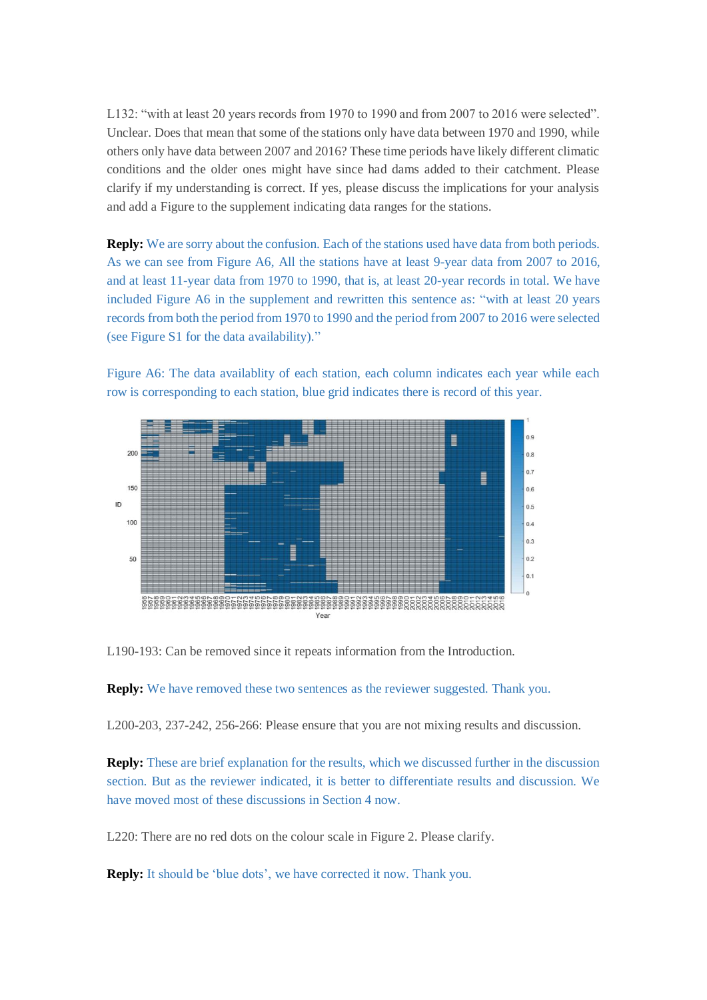L132: "with at least 20 years records from 1970 to 1990 and from 2007 to 2016 were selected". Unclear. Does that mean that some of the stations only have data between 1970 and 1990, while others only have data between 2007 and 2016? These time periods have likely different climatic conditions and the older ones might have since had dams added to their catchment. Please clarify if my understanding is correct. If yes, please discuss the implications for your analysis and add a Figure to the supplement indicating data ranges for the stations.

**Reply:** We are sorry about the confusion. Each of the stations used have data from both periods. As we can see from Figure A6, All the stations have at least 9-year data from 2007 to 2016, and at least 11-year data from 1970 to 1990, that is, at least 20-year records in total. We have included Figure A6 in the supplement and rewritten this sentence as: "with at least 20 years records from both the period from 1970 to 1990 and the period from 2007 to 2016 were selected (see Figure S1 for the data availability)."

Figure A6: The data availablity of each station, each column indicates each year while each row is corresponding to each station, blue grid indicates there is record of this year.



L190-193: Can be removed since it repeats information from the Introduction.

**Reply:** We have removed these two sentences as the reviewer suggested. Thank you.

L200-203, 237-242, 256-266: Please ensure that you are not mixing results and discussion.

**Reply:** These are brief explanation for the results, which we discussed further in the discussion section. But as the reviewer indicated, it is better to differentiate results and discussion. We have moved most of these discussions in Section 4 now.

L220: There are no red dots on the colour scale in Figure 2. Please clarify.

**Reply:** It should be 'blue dots', we have corrected it now. Thank you.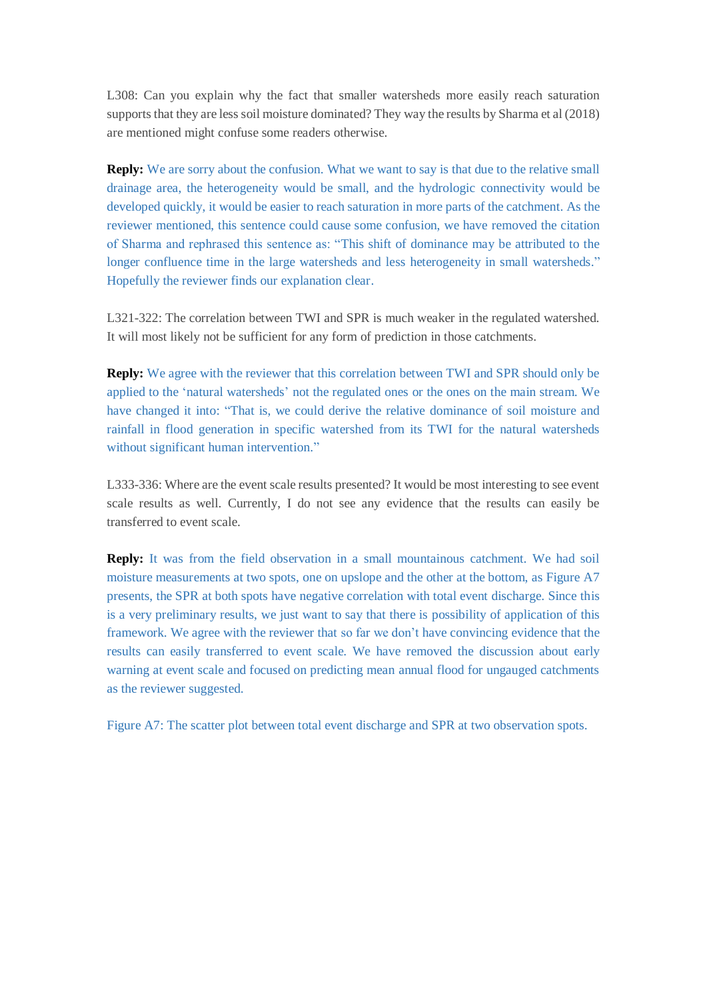L308: Can you explain why the fact that smaller watersheds more easily reach saturation supports that they are less soil moisture dominated? They way the results by Sharma et al (2018) are mentioned might confuse some readers otherwise.

**Reply:** We are sorry about the confusion. What we want to say is that due to the relative small drainage area, the heterogeneity would be small, and the hydrologic connectivity would be developed quickly, it would be easier to reach saturation in more parts of the catchment. As the reviewer mentioned, this sentence could cause some confusion, we have removed the citation of Sharma and rephrased this sentence as: "This shift of dominance may be attributed to the longer confluence time in the large watersheds and less heterogeneity in small watersheds." Hopefully the reviewer finds our explanation clear.

L321-322: The correlation between TWI and SPR is much weaker in the regulated watershed. It will most likely not be sufficient for any form of prediction in those catchments.

**Reply:** We agree with the reviewer that this correlation between TWI and SPR should only be applied to the 'natural watersheds' not the regulated ones or the ones on the main stream. We have changed it into: "That is, we could derive the relative dominance of soil moisture and rainfall in flood generation in specific watershed from its TWI for the natural watersheds without significant human intervention."

L333-336: Where are the event scale results presented? It would be most interesting to see event scale results as well. Currently, I do not see any evidence that the results can easily be transferred to event scale.

**Reply:** It was from the field observation in a small mountainous catchment. We had soil moisture measurements at two spots, one on upslope and the other at the bottom, as Figure A7 presents, the SPR at both spots have negative correlation with total event discharge. Since this is a very preliminary results, we just want to say that there is possibility of application of this framework. We agree with the reviewer that so far we don't have convincing evidence that the results can easily transferred to event scale. We have removed the discussion about early warning at event scale and focused on predicting mean annual flood for ungauged catchments as the reviewer suggested.

Figure A7: The scatter plot between total event discharge and SPR at two observation spots.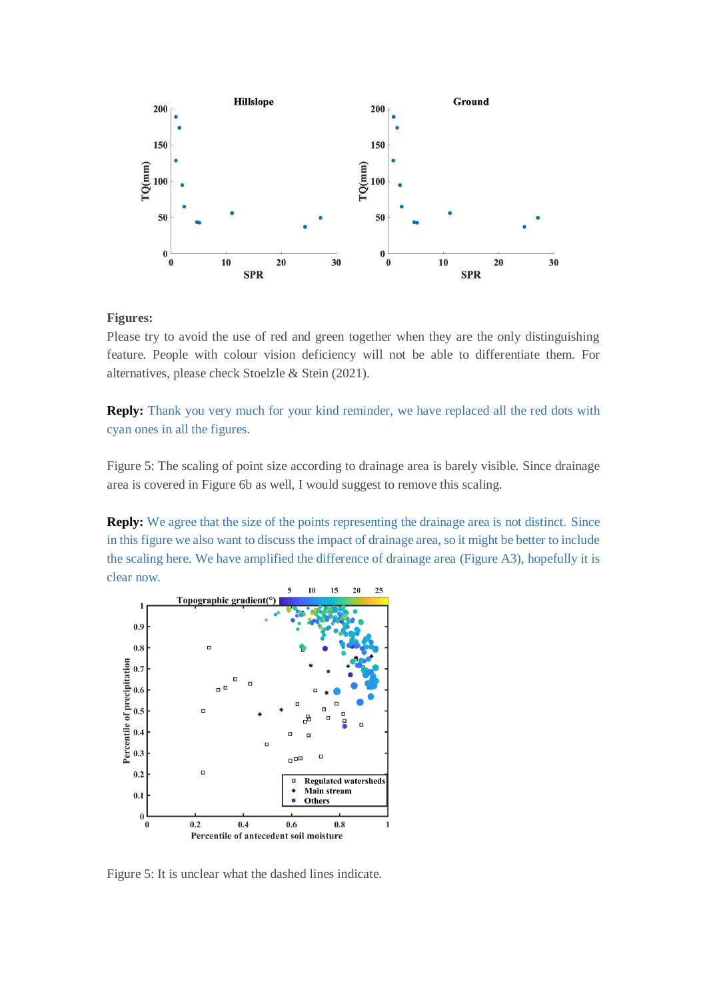

# **Figures:**

Please try to avoid the use of red and green together when they are the only distinguishing feature. People with colour vision deficiency will not be able to differentiate them. For alternatives, please check Stoelzle & Stein (2021).

**Reply:** Thank you very much for your kind reminder, we have replaced all the red dots with cyan ones in all the figures.

Figure 5: The scaling of point size according to drainage area is barely visible. Since drainage area is covered in Figure 6b as well, I would suggest to remove this scaling.

**Reply:** We agree that the size of the points representing the drainage area is not distinct. Since in this figure we also want to discuss the impact of drainage area, so it might be better to include the scaling here. We have amplified the difference of drainage area (Figure A3), hopefully it is clear now.



Figure 5: It is unclear what the dashed lines indicate.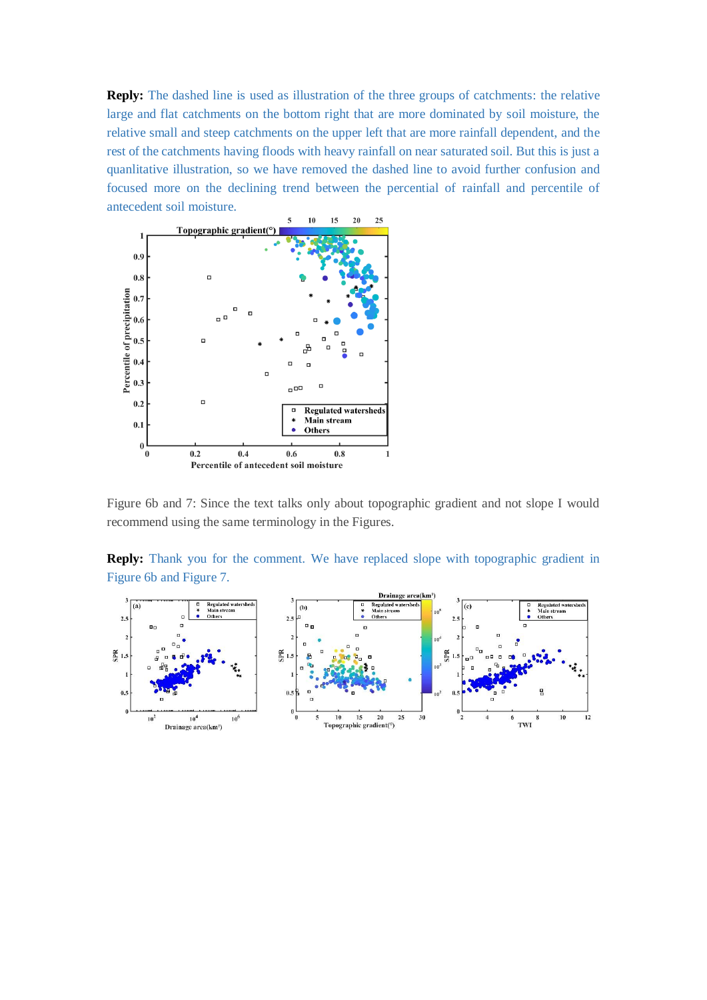**Reply:** The dashed line is used as illustration of the three groups of catchments: the relative large and flat catchments on the bottom right that are more dominated by soil moisture, the relative small and steep catchments on the upper left that are more rainfall dependent, and the rest of the catchments having floods with heavy rainfall on near saturated soil. But this is just a quanlitative illustration, so we have removed the dashed line to avoid further confusion and focused more on the declining trend between the percential of rainfall and percentile of antecedent soil moisture.



Figure 6b and 7: Since the text talks only about topographic gradient and not slope I would recommend using the same terminology in the Figures.

**Reply:** Thank you for the comment. We have replaced slope with topographic gradient in Figure 6b and Figure 7.